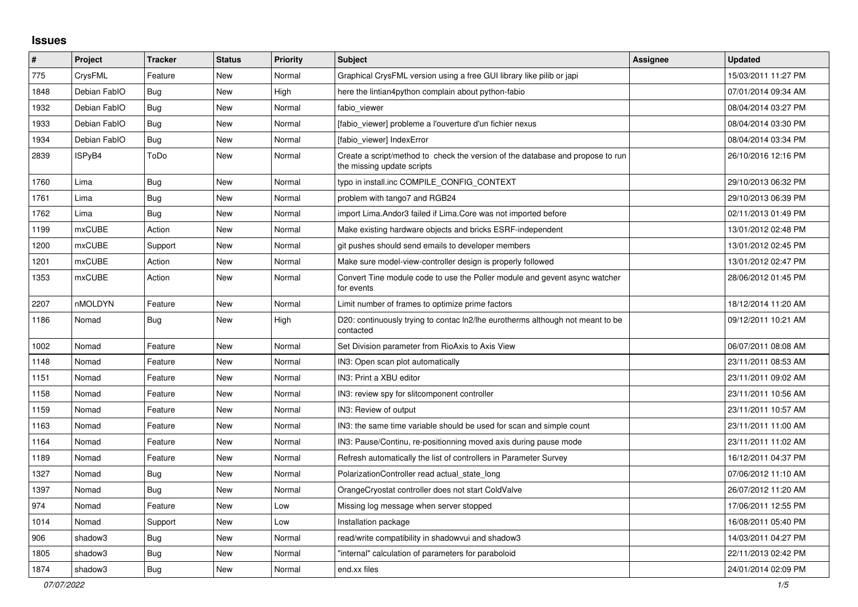## **Issues**

| $\sharp$ | <b>Project</b> | <b>Tracker</b> | <b>Status</b> | <b>Priority</b> | <b>Subject</b>                                                                                               | Assignee | <b>Updated</b>      |
|----------|----------------|----------------|---------------|-----------------|--------------------------------------------------------------------------------------------------------------|----------|---------------------|
| 775      | CrysFML        | Feature        | New           | Normal          | Graphical CrysFML version using a free GUI library like pilib or japi                                        |          | 15/03/2011 11:27 PM |
| 1848     | Debian FablO   | Bug            | New           | High            | here the lintian4python complain about python-fabio                                                          |          | 07/01/2014 09:34 AM |
| 1932     | Debian FablO   | Bug            | <b>New</b>    | Normal          | fabio viewer                                                                                                 |          | 08/04/2014 03:27 PM |
| 1933     | Debian FablO   | Bug            | New           | Normal          | [fabio viewer] probleme a l'ouverture d'un fichier nexus                                                     |          | 08/04/2014 03:30 PM |
| 1934     | Debian FablO   | <b>Bug</b>     | New           | Normal          | [fabio_viewer] IndexError                                                                                    |          | 08/04/2014 03:34 PM |
| 2839     | ISPyB4         | ToDo           | New           | Normal          | Create a script/method to check the version of the database and propose to run<br>the missing update scripts |          | 26/10/2016 12:16 PM |
| 1760     | Lima           | <b>Bug</b>     | New           | Normal          | typo in install.inc COMPILE_CONFIG_CONTEXT                                                                   |          | 29/10/2013 06:32 PM |
| 1761     | Lima           | <b>Bug</b>     | <b>New</b>    | Normal          | problem with tango7 and RGB24                                                                                |          | 29/10/2013 06:39 PM |
| 1762     | Lima           | <b>Bug</b>     | New           | Normal          | import Lima. Andor3 failed if Lima. Core was not imported before                                             |          | 02/11/2013 01:49 PM |
| 1199     | <b>mxCUBE</b>  | Action         | New           | Normal          | Make existing hardware objects and bricks ESRF-independent                                                   |          | 13/01/2012 02:48 PM |
| 1200     | mxCUBE         | Support        | New           | Normal          | git pushes should send emails to developer members                                                           |          | 13/01/2012 02:45 PM |
| 1201     | <b>mxCUBE</b>  | Action         | New           | Normal          | Make sure model-view-controller design is properly followed                                                  |          | 13/01/2012 02:47 PM |
| 1353     | mxCUBE         | Action         | New           | Normal          | Convert Tine module code to use the Poller module and gevent async watcher<br>for events                     |          | 28/06/2012 01:45 PM |
| 2207     | nMOLDYN        | Feature        | New           | Normal          | Limit number of frames to optimize prime factors                                                             |          | 18/12/2014 11:20 AM |
| 1186     | Nomad          | <b>Bug</b>     | New           | High            | D20: continuously trying to contac ln2/lhe eurotherms although not meant to be<br>contacted                  |          | 09/12/2011 10:21 AM |
| 1002     | Nomad          | Feature        | New           | Normal          | Set Division parameter from RioAxis to Axis View                                                             |          | 06/07/2011 08:08 AM |
| 1148     | Nomad          | Feature        | New           | Normal          | IN3: Open scan plot automatically                                                                            |          | 23/11/2011 08:53 AM |
| 1151     | Nomad          | Feature        | New           | Normal          | IN3: Print a XBU editor                                                                                      |          | 23/11/2011 09:02 AM |
| 1158     | Nomad          | Feature        | <b>New</b>    | Normal          | IN3: review spy for slitcomponent controller                                                                 |          | 23/11/2011 10:56 AM |
| 1159     | Nomad          | Feature        | New           | Normal          | IN3: Review of output                                                                                        |          | 23/11/2011 10:57 AM |
| 1163     | Nomad          | Feature        | New           | Normal          | IN3: the same time variable should be used for scan and simple count                                         |          | 23/11/2011 11:00 AM |
| 1164     | Nomad          | Feature        | New           | Normal          | IN3: Pause/Continu, re-positionning moved axis during pause mode                                             |          | 23/11/2011 11:02 AM |
| 1189     | Nomad          | Feature        | New           | Normal          | Refresh automatically the list of controllers in Parameter Survey                                            |          | 16/12/2011 04:37 PM |
| 1327     | Nomad          | Bug            | New           | Normal          | PolarizationController read actual state long                                                                |          | 07/06/2012 11:10 AM |
| 1397     | Nomad          | <b>Bug</b>     | New           | Normal          | OrangeCryostat controller does not start ColdValve                                                           |          | 26/07/2012 11:20 AM |
| 974      | Nomad          | Feature        | <b>New</b>    | Low             | Missing log message when server stopped                                                                      |          | 17/06/2011 12:55 PM |
| 1014     | Nomad          | Support        | New           | Low             | Installation package                                                                                         |          | 16/08/2011 05:40 PM |
| 906      | shadow3        | Bug            | New           | Normal          | read/write compatibility in shadowvui and shadow3                                                            |          | 14/03/2011 04:27 PM |
| 1805     | shadow3        | <b>Bug</b>     | New           | Normal          | "internal" calculation of parameters for paraboloid                                                          |          | 22/11/2013 02:42 PM |
| 1874     | shadow3        | Bug            | New           | Normal          | end.xx files                                                                                                 |          | 24/01/2014 02:09 PM |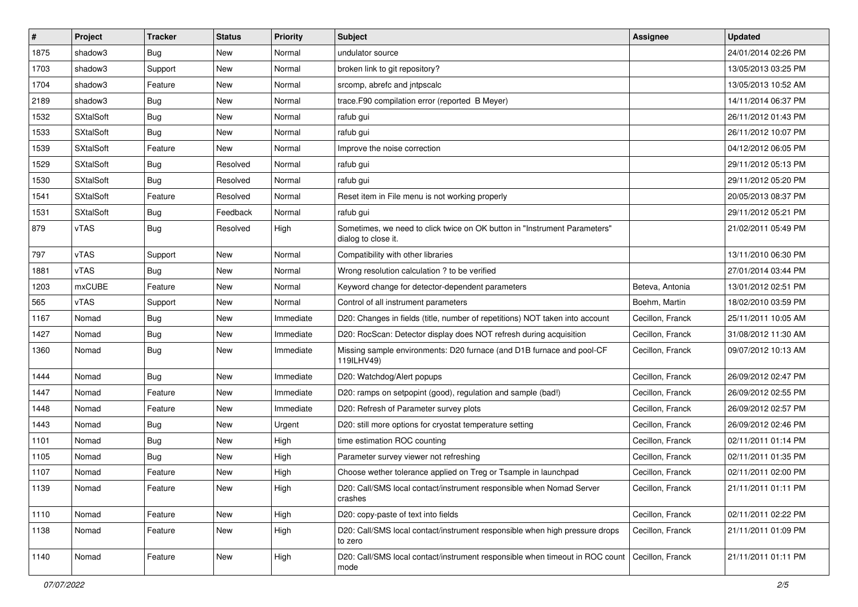| #    | Project          | <b>Tracker</b> | <b>Status</b> | <b>Priority</b> | Subject                                                                                          | <b>Assignee</b>  | <b>Updated</b>      |
|------|------------------|----------------|---------------|-----------------|--------------------------------------------------------------------------------------------------|------------------|---------------------|
| 1875 | shadow3          | <b>Bug</b>     | New           | Normal          | undulator source                                                                                 |                  | 24/01/2014 02:26 PM |
| 1703 | shadow3          | Support        | New           | Normal          | broken link to git repository?                                                                   |                  | 13/05/2013 03:25 PM |
| 1704 | shadow3          | Feature        | New           | Normal          | srcomp, abrefc and intpscalc                                                                     |                  | 13/05/2013 10:52 AM |
| 2189 | shadow3          | <b>Bug</b>     | New           | Normal          | trace.F90 compilation error (reported B Meyer)                                                   |                  | 14/11/2014 06:37 PM |
| 1532 | <b>SXtalSoft</b> | <b>Bug</b>     | New           | Normal          | rafub gui                                                                                        |                  | 26/11/2012 01:43 PM |
| 1533 | <b>SXtalSoft</b> | <b>Bug</b>     | New           | Normal          | rafub gui                                                                                        |                  | 26/11/2012 10:07 PM |
| 1539 | <b>SXtalSoft</b> | Feature        | <b>New</b>    | Normal          | Improve the noise correction                                                                     |                  | 04/12/2012 06:05 PM |
| 1529 | <b>SXtalSoft</b> | <b>Bug</b>     | Resolved      | Normal          | rafub gui                                                                                        |                  | 29/11/2012 05:13 PM |
| 1530 | <b>SXtalSoft</b> | <b>Bug</b>     | Resolved      | Normal          | rafub gui                                                                                        |                  | 29/11/2012 05:20 PM |
| 1541 | <b>SXtalSoft</b> | Feature        | Resolved      | Normal          | Reset item in File menu is not working properly                                                  |                  | 20/05/2013 08:37 PM |
| 1531 | <b>SXtalSoft</b> | <b>Bug</b>     | Feedback      | Normal          | rafub gui                                                                                        |                  | 29/11/2012 05:21 PM |
| 879  | vTAS             | <b>Bug</b>     | Resolved      | High            | Sometimes, we need to click twice on OK button in "Instrument Parameters"<br>dialog to close it. |                  | 21/02/2011 05:49 PM |
| 797  | vTAS             | Support        | New           | Normal          | Compatibility with other libraries                                                               |                  | 13/11/2010 06:30 PM |
| 1881 | vTAS             | Bug            | New           | Normal          | Wrong resolution calculation ? to be verified                                                    |                  | 27/01/2014 03:44 PM |
| 1203 | mxCUBE           | Feature        | New           | Normal          | Keyword change for detector-dependent parameters                                                 | Beteva, Antonia  | 13/01/2012 02:51 PM |
| 565  | vTAS             | Support        | New           | Normal          | Control of all instrument parameters                                                             | Boehm, Martin    | 18/02/2010 03:59 PM |
| 1167 | Nomad            | <b>Bug</b>     | New           | Immediate       | D20: Changes in fields (title, number of repetitions) NOT taken into account                     | Cecillon, Franck | 25/11/2011 10:05 AM |
| 1427 | Nomad            | Bug            | New           | Immediate       | D20: RocScan: Detector display does NOT refresh during acquisition                               | Cecillon, Franck | 31/08/2012 11:30 AM |
| 1360 | Nomad            | <b>Bug</b>     | New           | Immediate       | Missing sample environments: D20 furnace (and D1B furnace and pool-CF<br>119ILHV49)              | Cecillon, Franck | 09/07/2012 10:13 AM |
| 1444 | Nomad            | <b>Bug</b>     | New           | Immediate       | D20: Watchdog/Alert popups                                                                       | Cecillon, Franck | 26/09/2012 02:47 PM |
| 1447 | Nomad            | Feature        | New           | Immediate       | D20: ramps on setpopint (good), regulation and sample (bad!)                                     | Cecillon, Franck | 26/09/2012 02:55 PM |
| 1448 | Nomad            | Feature        | New           | Immediate       | D20: Refresh of Parameter survey plots                                                           | Cecillon, Franck | 26/09/2012 02:57 PM |
| 1443 | Nomad            | <b>Bug</b>     | New           | Urgent          | D20: still more options for cryostat temperature setting                                         | Cecillon, Franck | 26/09/2012 02:46 PM |
| 1101 | Nomad            | <b>Bug</b>     | New           | High            | time estimation ROC counting                                                                     | Cecillon, Franck | 02/11/2011 01:14 PM |
| 1105 | Nomad            | <b>Bug</b>     | New           | High            | Parameter survey viewer not refreshing                                                           | Cecillon, Franck | 02/11/2011 01:35 PM |
| 1107 | Nomad            | Feature        | New           | High            | Choose wether tolerance applied on Treg or Tsample in launchpad                                  | Cecillon, Franck | 02/11/2011 02:00 PM |
| 1139 | Nomad            | Feature        | New           | High            | D20: Call/SMS local contact/instrument responsible when Nomad Server<br>crashes                  | Cecillon, Franck | 21/11/2011 01:11 PM |
| 1110 | Nomad            | Feature        | New           | High            | D20: copy-paste of text into fields                                                              | Cecillon, Franck | 02/11/2011 02:22 PM |
| 1138 | Nomad            | Feature        | New           | High            | D20: Call/SMS local contact/instrument responsible when high pressure drops<br>to zero           | Cecillon, Franck | 21/11/2011 01:09 PM |
| 1140 | Nomad            | Feature        | New           | High            | D20: Call/SMS local contact/instrument responsible when timeout in ROC count<br>mode             | Cecillon, Franck | 21/11/2011 01:11 PM |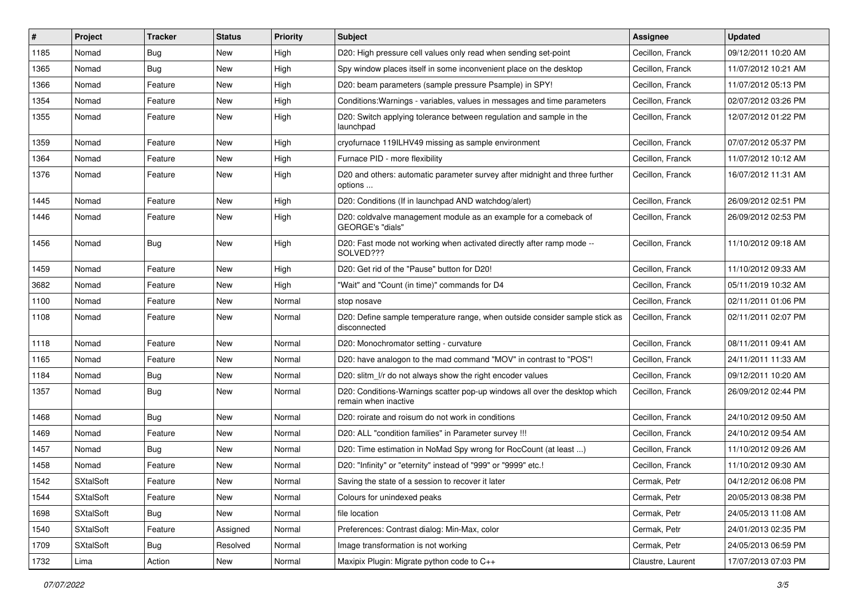| #    | Project          | <b>Tracker</b> | <b>Status</b> | <b>Priority</b> | <b>Subject</b>                                                                                     | <b>Assignee</b>   | <b>Updated</b>      |
|------|------------------|----------------|---------------|-----------------|----------------------------------------------------------------------------------------------------|-------------------|---------------------|
| 1185 | Nomad            | <b>Bug</b>     | New           | High            | D20: High pressure cell values only read when sending set-point                                    | Cecillon, Franck  | 09/12/2011 10:20 AM |
| 1365 | Nomad            | Bug            | New           | High            | Spy window places itself in some inconvenient place on the desktop                                 | Cecillon, Franck  | 11/07/2012 10:21 AM |
| 1366 | Nomad            | Feature        | New           | High            | D20: beam parameters (sample pressure Psample) in SPY!                                             | Cecillon, Franck  | 11/07/2012 05:13 PM |
| 1354 | Nomad            | Feature        | New           | High            | Conditions: Warnings - variables, values in messages and time parameters                           | Cecillon, Franck  | 02/07/2012 03:26 PM |
| 1355 | Nomad            | Feature        | New           | High            | D20: Switch applying tolerance between regulation and sample in the<br>launchpad                   | Cecillon, Franck  | 12/07/2012 01:22 PM |
| 1359 | Nomad            | Feature        | New           | High            | cryofurnace 119ILHV49 missing as sample environment                                                | Cecillon, Franck  | 07/07/2012 05:37 PM |
| 1364 | Nomad            | Feature        | New           | High            | Furnace PID - more flexibility                                                                     | Cecillon, Franck  | 11/07/2012 10:12 AM |
| 1376 | Nomad            | Feature        | New           | High            | D20 and others: automatic parameter survey after midnight and three further<br>options             | Cecillon, Franck  | 16/07/2012 11:31 AM |
| 1445 | Nomad            | Feature        | New           | High            | D20: Conditions (If in launchpad AND watchdog/alert)                                               | Cecillon, Franck  | 26/09/2012 02:51 PM |
| 1446 | Nomad            | Feature        | New           | High            | D20: coldvalve management module as an example for a comeback of<br><b>GEORGE's "dials"</b>        | Cecillon, Franck  | 26/09/2012 02:53 PM |
| 1456 | Nomad            | Bug            | New           | High            | D20: Fast mode not working when activated directly after ramp mode --<br>SOLVED???                 | Cecillon, Franck  | 11/10/2012 09:18 AM |
| 1459 | Nomad            | Feature        | New           | High            | D20: Get rid of the "Pause" button for D20!                                                        | Cecillon, Franck  | 11/10/2012 09:33 AM |
| 3682 | Nomad            | Feature        | New           | High            | "Wait" and "Count (in time)" commands for D4                                                       | Cecillon, Franck  | 05/11/2019 10:32 AM |
| 1100 | Nomad            | Feature        | New           | Normal          | stop nosave                                                                                        | Cecillon, Franck  | 02/11/2011 01:06 PM |
| 1108 | Nomad            | Feature        | New           | Normal          | D20: Define sample temperature range, when outside consider sample stick as<br>disconnected        | Cecillon, Franck  | 02/11/2011 02:07 PM |
| 1118 | Nomad            | Feature        | New           | Normal          | D20: Monochromator setting - curvature                                                             | Cecillon, Franck  | 08/11/2011 09:41 AM |
| 1165 | Nomad            | Feature        | New           | Normal          | D20: have analogon to the mad command "MOV" in contrast to "POS"!                                  | Cecillon, Franck  | 24/11/2011 11:33 AM |
| 1184 | Nomad            | Bug            | New           | Normal          | D20: slitm I/r do not always show the right encoder values                                         | Cecillon, Franck  | 09/12/2011 10:20 AM |
| 1357 | Nomad            | <b>Bug</b>     | New           | Normal          | D20: Conditions-Warnings scatter pop-up windows all over the desktop which<br>remain when inactive | Cecillon, Franck  | 26/09/2012 02:44 PM |
| 1468 | Nomad            | Bug            | New           | Normal          | D20: roirate and roisum do not work in conditions                                                  | Cecillon, Franck  | 24/10/2012 09:50 AM |
| 1469 | Nomad            | Feature        | New           | Normal          | D20: ALL "condition families" in Parameter survey !!!                                              | Cecillon, Franck  | 24/10/2012 09:54 AM |
| 1457 | Nomad            | <b>Bug</b>     | New           | Normal          | D20: Time estimation in NoMad Spy wrong for RocCount (at least )                                   | Cecillon, Franck  | 11/10/2012 09:26 AM |
| 1458 | Nomad            | Feature        | New           | Normal          | D20: "Infinity" or "eternity" instead of "999" or "9999" etc.!                                     | Cecillon, Franck  | 11/10/2012 09:30 AM |
| 1542 | <b>SXtalSoft</b> | Feature        | New           | Normal          | Saving the state of a session to recover it later                                                  | Cermak. Petr      | 04/12/2012 06:08 PM |
| 1544 | <b>SXtalSoft</b> | Feature        | New           | Normal          | Colours for unindexed peaks                                                                        | Cermak, Petr      | 20/05/2013 08:38 PM |
| 1698 | <b>SXtalSoft</b> | Bug            | New           | Normal          | file location                                                                                      | Cermak, Petr      | 24/05/2013 11:08 AM |
| 1540 | <b>SXtalSoft</b> | Feature        | Assigned      | Normal          | Preferences: Contrast dialog: Min-Max, color                                                       | Cermak, Petr      | 24/01/2013 02:35 PM |
| 1709 | <b>SXtalSoft</b> | <b>Bug</b>     | Resolved      | Normal          | Image transformation is not working                                                                | Cermak, Petr      | 24/05/2013 06:59 PM |
| 1732 | Lima             | Action         | New           | Normal          | Maxipix Plugin: Migrate python code to C++                                                         | Claustre, Laurent | 17/07/2013 07:03 PM |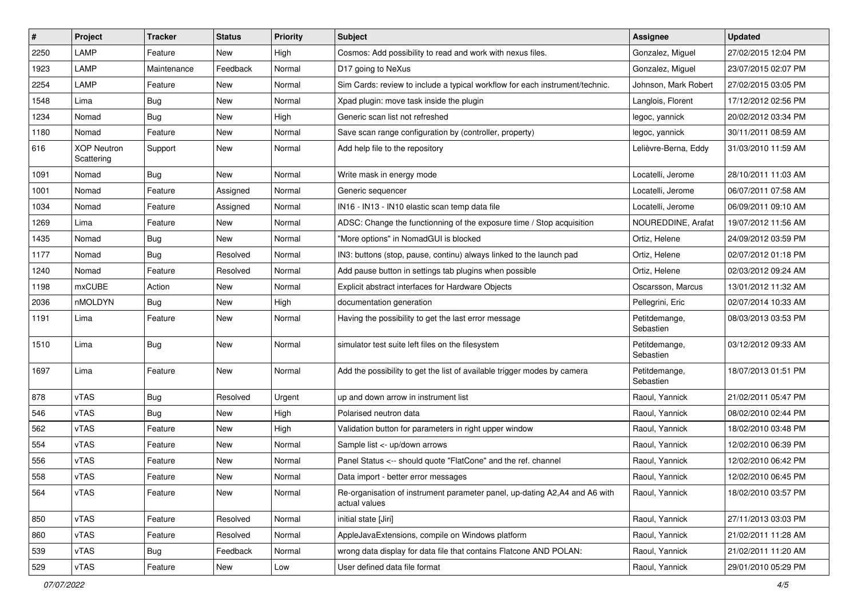| $\sharp$ | Project                          | <b>Tracker</b> | <b>Status</b> | <b>Priority</b> | <b>Subject</b>                                                                               | <b>Assignee</b>            | <b>Updated</b>      |
|----------|----------------------------------|----------------|---------------|-----------------|----------------------------------------------------------------------------------------------|----------------------------|---------------------|
| 2250     | LAMP                             | Feature        | New           | High            | Cosmos: Add possibility to read and work with nexus files.                                   | Gonzalez, Miguel           | 27/02/2015 12:04 PM |
| 1923     | LAMP                             | Maintenance    | Feedback      | Normal          | D17 going to NeXus                                                                           | Gonzalez, Miguel           | 23/07/2015 02:07 PM |
| 2254     | LAMP                             | Feature        | New           | Normal          | Sim Cards: review to include a typical workflow for each instrument/technic.                 | Johnson, Mark Robert       | 27/02/2015 03:05 PM |
| 1548     | Lima                             | Bug            | New           | Normal          | Xpad plugin: move task inside the plugin                                                     | Langlois, Florent          | 17/12/2012 02:56 PM |
| 1234     | Nomad                            | <b>Bug</b>     | New           | High            | Generic scan list not refreshed                                                              | legoc, yannick             | 20/02/2012 03:34 PM |
| 1180     | Nomad                            | Feature        | New           | Normal          | Save scan range configuration by (controller, property)                                      | legoc, yannick             | 30/11/2011 08:59 AM |
| 616      | <b>XOP Neutron</b><br>Scattering | Support        | New           | Normal          | Add help file to the repository                                                              | Lelièvre-Berna, Eddy       | 31/03/2010 11:59 AM |
| 1091     | Nomad                            | <b>Bug</b>     | New           | Normal          | Write mask in energy mode                                                                    | Locatelli, Jerome          | 28/10/2011 11:03 AM |
| 1001     | Nomad                            | Feature        | Assigned      | Normal          | Generic sequencer                                                                            | Locatelli, Jerome          | 06/07/2011 07:58 AM |
| 1034     | Nomad                            | Feature        | Assigned      | Normal          | IN16 - IN13 - IN10 elastic scan temp data file                                               | Locatelli, Jerome          | 06/09/2011 09:10 AM |
| 1269     | Lima                             | Feature        | New           | Normal          | ADSC: Change the functionning of the exposure time / Stop acquisition                        | NOUREDDINE, Arafat         | 19/07/2012 11:56 AM |
| 1435     | Nomad                            | <b>Bug</b>     | New           | Normal          | "More options" in NomadGUI is blocked                                                        | Ortiz, Helene              | 24/09/2012 03:59 PM |
| 1177     | Nomad                            | Bug            | Resolved      | Normal          | IN3: buttons (stop, pause, continu) always linked to the launch pad                          | Ortiz, Helene              | 02/07/2012 01:18 PM |
| 1240     | Nomad                            | Feature        | Resolved      | Normal          | Add pause button in settings tab plugins when possible                                       | Ortiz, Helene              | 02/03/2012 09:24 AM |
| 1198     | mxCUBE                           | Action         | New           | Normal          | Explicit abstract interfaces for Hardware Objects                                            | Oscarsson, Marcus          | 13/01/2012 11:32 AM |
| 2036     | nMOLDYN                          | <b>Bug</b>     | New           | High            | documentation generation                                                                     | Pellegrini, Eric           | 02/07/2014 10:33 AM |
| 1191     | Lima                             | Feature        | New           | Normal          | Having the possibility to get the last error message                                         | Petitdemange,<br>Sebastien | 08/03/2013 03:53 PM |
| 1510     | Lima                             | <b>Bug</b>     | New           | Normal          | simulator test suite left files on the filesystem                                            | Petitdemange,<br>Sebastien | 03/12/2012 09:33 AM |
| 1697     | Lima                             | Feature        | New           | Normal          | Add the possibility to get the list of available trigger modes by camera                     | Petitdemange,<br>Sebastien | 18/07/2013 01:51 PM |
| 878      | vTAS                             | <b>Bug</b>     | Resolved      | Urgent          | up and down arrow in instrument list                                                         | Raoul, Yannick             | 21/02/2011 05:47 PM |
| 546      | vTAS                             | <b>Bug</b>     | New           | High            | Polarised neutron data                                                                       | Raoul, Yannick             | 08/02/2010 02:44 PM |
| 562      | vTAS                             | Feature        | New           | High            | Validation button for parameters in right upper window                                       | Raoul, Yannick             | 18/02/2010 03:48 PM |
| 554      | vTAS                             | Feature        | New           | Normal          | Sample list <- up/down arrows                                                                | Raoul, Yannick             | 12/02/2010 06:39 PM |
| 556      | vTAS                             | Feature        | New           | Normal          | Panel Status <-- should quote "FlatCone" and the ref. channel                                | Raoul, Yannick             | 12/02/2010 06:42 PM |
| 558      | vTAS                             | Feature        | New           | Normal          | Data import - better error messages                                                          | Raoul, Yannick             | 12/02/2010 06:45 PM |
| 564      | vTAS                             | Feature        | New           | Normal          | Re-organisation of instrument parameter panel, up-dating A2, A4 and A6 with<br>actual values | Raoul, Yannick             | 18/02/2010 03:57 PM |
| 850      | vTAS                             | Feature        | Resolved      | Normal          | initial state [Jiri]                                                                         | Raoul, Yannick             | 27/11/2013 03:03 PM |
| 860      | vTAS                             | Feature        | Resolved      | Normal          | AppleJavaExtensions, compile on Windows platform                                             | Raoul, Yannick             | 21/02/2011 11:28 AM |
| 539      | vTAS                             | <b>Bug</b>     | Feedback      | Normal          | wrong data display for data file that contains Flatcone AND POLAN:                           | Raoul, Yannick             | 21/02/2011 11:20 AM |
| 529      | vTAS                             | Feature        | New           | Low             | User defined data file format                                                                | Raoul, Yannick             | 29/01/2010 05:29 PM |